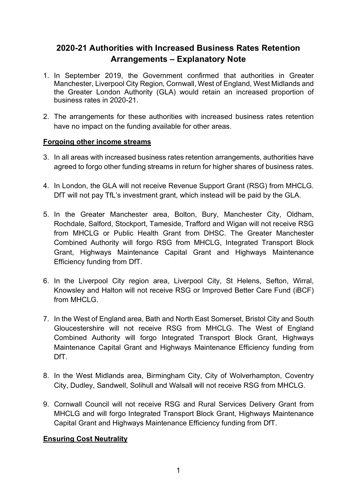# **2020-21 Authorities with Increased Business Rates Retention Arrangements – Explanatory Note**

- 1. In September 2019, the Government confirmed that authorities in Greater Manchester, Liverpool City Region, Cornwall, West of England, West Midlands and the Greater London Authority (GLA) would retain an increased proportion of business rates in 2020-21.
- 2. The arrangements for these authorities with increased business rates retention have no impact on the funding available for other areas.

### **Forgoing other income streams**

- 3. In all areas with increased business rates retention arrangements, authorities have agreed to forgo other funding streams in return for higher shares of business rates.
- 4. In London, the GLA will not receive Revenue Support Grant (RSG) from MHCLG. DfT will not pay TfL's investment grant, which instead will be paid by the GLA.
- 5. In the Greater Manchester area, Bolton, Bury, Manchester City, Oldham, Rochdale, Salford, Stockport, Tameside, Trafford and Wigan will not receive RSG from MHCLG or Public Health Grant from DHSC. The Greater Manchester Combined Authority will forgo RSG from MHCLG, Integrated Transport Block Grant, Highways Maintenance Capital Grant and Highways Maintenance Efficiency funding from DfT.
- 6. In the Liverpool City region area, Liverpool City, St Helens, Sefton, Wirral, Knowsley and Halton will not receive RSG or Improved Better Care Fund (iBCF) from MHCLG.
- 7. In the West of England area, Bath and North East Somerset, Bristol City and South Gloucestershire will not receive RSG from MHCLG. The West of England Combined Authority will forgo Integrated Transport Block Grant, Highways Maintenance Capital Grant and Highways Maintenance Efficiency funding from DfT.
- 8. In the West Midlands area, Birmingham City, City of Wolverhampton, Coventry City, Dudley, Sandwell, Solihull and Walsall will not receive RSG from MHCLG.
- 9. Cornwall Council will not receive RSG and Rural Services Delivery Grant from MHCLG and will forgo Integrated Transport Block Grant, Highways Maintenance Capital Grant and Highways Maintenance Efficiency funding from DfT.

# **Ensuring Cost Neutrality**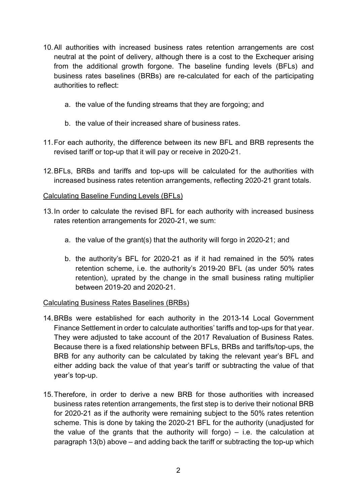- 10.All authorities with increased business rates retention arrangements are cost neutral at the point of delivery, although there is a cost to the Exchequer arising from the additional growth forgone. The baseline funding levels (BFLs) and business rates baselines (BRBs) are re-calculated for each of the participating authorities to reflect:
	- a. the value of the funding streams that they are forgoing; and
	- b. the value of their increased share of business rates.
- 11.For each authority, the difference between its new BFL and BRB represents the revised tariff or top-up that it will pay or receive in 2020-21.
- 12.BFLs, BRBs and tariffs and top-ups will be calculated for the authorities with increased business rates retention arrangements, reflecting 2020-21 grant totals.

#### Calculating Baseline Funding Levels (BFLs)

- 13.In order to calculate the revised BFL for each authority with increased business rates retention arrangements for 2020-21, we sum:
	- a. the value of the grant(s) that the authority will forgo in 2020-21; and
	- b. the authority's BFL for 2020-21 as if it had remained in the 50% rates retention scheme, i.e. the authority's 2019-20 BFL (as under 50% rates retention), uprated by the change in the small business rating multiplier between 2019-20 and 2020-21.

#### Calculating Business Rates Baselines (BRBs)

- 14.BRBs were established for each authority in the 2013-14 Local Government Finance Settlement in order to calculate authorities' tariffs and top-ups for that year. They were adjusted to take account of the 2017 Revaluation of Business Rates. Because there is a fixed relationship between BFLs, BRBs and tariffs/top-ups, the BRB for any authority can be calculated by taking the relevant year's BFL and either adding back the value of that year's tariff or subtracting the value of that year's top-up.
- 15.Therefore, in order to derive a new BRB for those authorities with increased business rates retention arrangements, the first step is to derive their notional BRB for 2020-21 as if the authority were remaining subject to the 50% rates retention scheme. This is done by taking the 2020-21 BFL for the authority (unadjusted for the value of the grants that the authority will forgo)  $-$  i.e. the calculation at paragraph 13(b) above – and adding back the tariff or subtracting the top-up which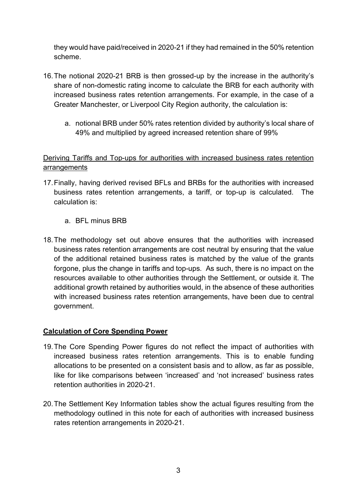they would have paid/received in 2020-21 if they had remained in the 50% retention scheme.

- 16.The notional 2020-21 BRB is then grossed-up by the increase in the authority's share of non-domestic rating income to calculate the BRB for each authority with increased business rates retention arrangements. For example, in the case of a Greater Manchester, or Liverpool City Region authority, the calculation is:
	- a. notional BRB under 50% rates retention divided by authority's local share of 49% and multiplied by agreed increased retention share of 99%

# Deriving Tariffs and Top-ups for authorities with increased business rates retention arrangements

- 17.Finally, having derived revised BFLs and BRBs for the authorities with increased business rates retention arrangements, a tariff, or top-up is calculated. The calculation is:
	- a. BFL minus BRB
- 18.The methodology set out above ensures that the authorities with increased business rates retention arrangements are cost neutral by ensuring that the value of the additional retained business rates is matched by the value of the grants forgone, plus the change in tariffs and top-ups. As such, there is no impact on the resources available to other authorities through the Settlement, or outside it. The additional growth retained by authorities would, in the absence of these authorities with increased business rates retention arrangements, have been due to central government.

### **Calculation of Core Spending Power**

- 19.The Core Spending Power figures do not reflect the impact of authorities with increased business rates retention arrangements. This is to enable funding allocations to be presented on a consistent basis and to allow, as far as possible, like for like comparisons between 'increased' and 'not increased' business rates retention authorities in 2020-21.
- 20.The Settlement Key Information tables show the actual figures resulting from the methodology outlined in this note for each of authorities with increased business rates retention arrangements in 2020-21.